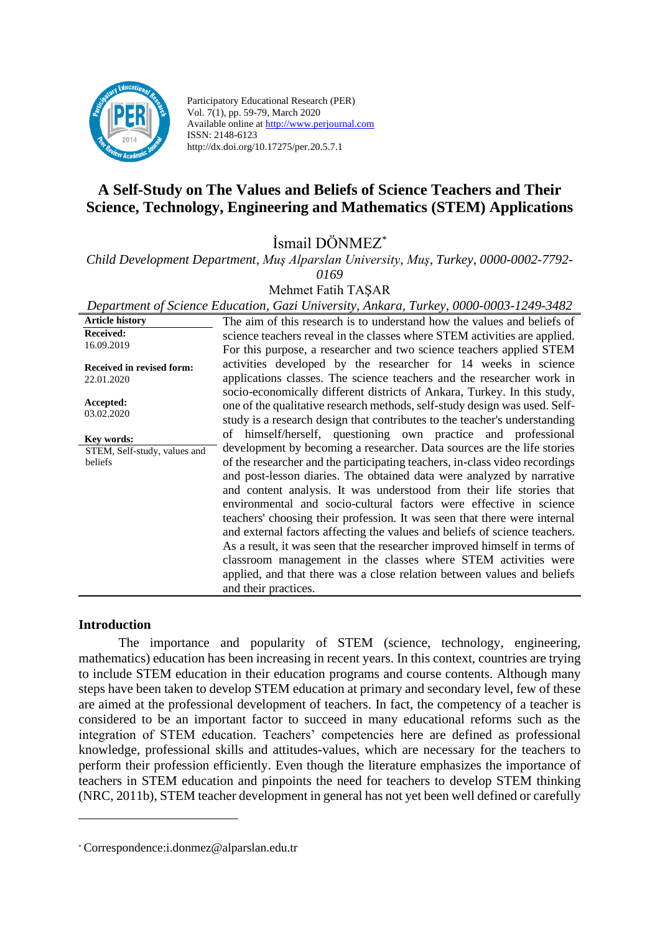

Participatory Educational Research (PER) Vol. 7(1), pp. 59-79, March 2020 Available online at http://www.perjournal.com ISSN: 2148-6123 http://dx.doi.org/10.17275/per.20.5.7.1

# **A Self-Study on The Values and Beliefs of Science Teachers and Their Science, Technology, Engineering and Mathematics (STEM) Applications**

İsmail DÖNMEZ\*

*Child Development Department, Muş Alparslan University, Muş, Turkey, 0000-0002-7792-*

*0169*

Mehmet Fatih TAŞAR

|                                                | Department of Science Education, Gazi University, Ankara, Turkey, 0000-0003-1249-3482                                                                                                                                                                                                                                                                                                                                                                                                                                                                                                                                                                                                   |
|------------------------------------------------|-----------------------------------------------------------------------------------------------------------------------------------------------------------------------------------------------------------------------------------------------------------------------------------------------------------------------------------------------------------------------------------------------------------------------------------------------------------------------------------------------------------------------------------------------------------------------------------------------------------------------------------------------------------------------------------------|
| <b>Article history</b>                         | The aim of this research is to understand how the values and beliefs of                                                                                                                                                                                                                                                                                                                                                                                                                                                                                                                                                                                                                 |
| <b>Received:</b><br>16.09.2019                 | science teachers reveal in the classes where STEM activities are applied.<br>For this purpose, a researcher and two science teachers applied STEM                                                                                                                                                                                                                                                                                                                                                                                                                                                                                                                                       |
| <b>Received in revised form:</b><br>22.01.2020 | activities developed by the researcher for 14 weeks in science<br>applications classes. The science teachers and the researcher work in<br>socio-economically different districts of Ankara, Turkey. In this study,                                                                                                                                                                                                                                                                                                                                                                                                                                                                     |
| Accepted:<br>03.02.2020                        | one of the qualitative research methods, self-study design was used. Self-<br>study is a research design that contributes to the teacher's understanding                                                                                                                                                                                                                                                                                                                                                                                                                                                                                                                                |
| Key words:                                     | of himself/herself, questioning own practice and professional                                                                                                                                                                                                                                                                                                                                                                                                                                                                                                                                                                                                                           |
| STEM, Self-study, values and<br>beliefs        | development by becoming a researcher. Data sources are the life stories<br>of the researcher and the participating teachers, in-class video recordings<br>and post-lesson diaries. The obtained data were analyzed by narrative<br>and content analysis. It was understood from their life stories that<br>environmental and socio-cultural factors were effective in science<br>teachers' choosing their profession. It was seen that there were internal<br>and external factors affecting the values and beliefs of science teachers.<br>As a result, it was seen that the researcher improved himself in terms of<br>classroom management in the classes where STEM activities were |
|                                                | applied, and that there was a close relation between values and beliefs<br>and their practices.                                                                                                                                                                                                                                                                                                                                                                                                                                                                                                                                                                                         |

### **Introduction**

The importance and popularity of STEM (science, technology, engineering, mathematics) education has been increasing in recent years. In this context, countries are trying to include STEM education in their education programs and course contents. Although many steps have been taken to develop STEM education at primary and secondary level, few of these are aimed at the professional development of teachers. In fact, the competency of a teacher is considered to be an important factor to succeed in many educational reforms such as the integration of STEM education. Teachers' competencies here are defined as professional knowledge, professional skills and attitudes-values, which are necessary for the teachers to perform their profession efficiently. Even though the literature emphasizes the importance of teachers in STEM education and pinpoints the need for teachers to develop STEM thinking (NRC, 2011b), STEM teacher development in general has not yet been well defined or carefully

<sup>\*</sup> Correspondence:i.donmez@alparslan.edu.tr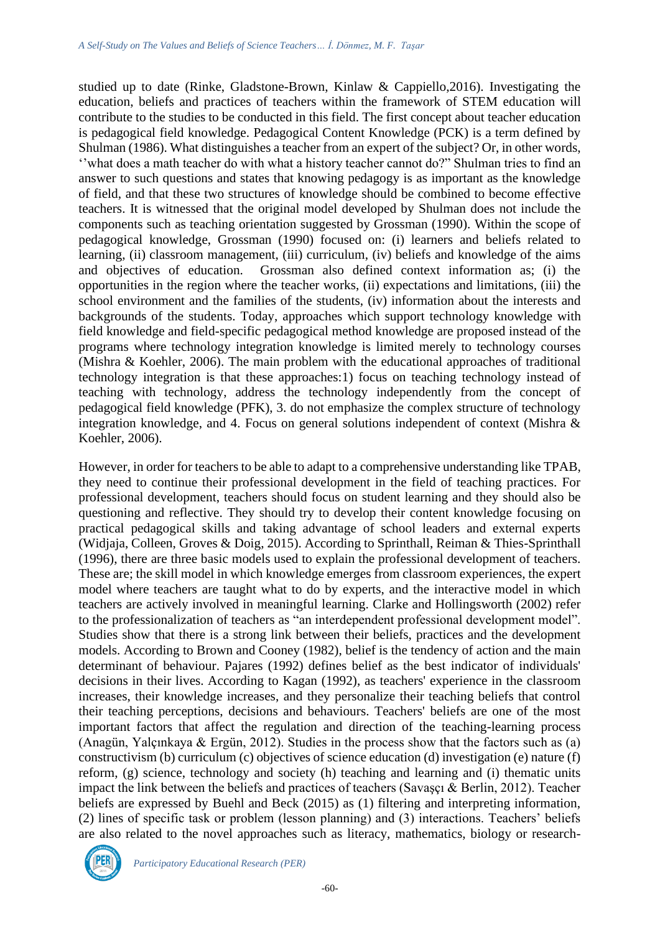studied up to date (Rinke, Gladstone-Brown, Kinlaw & Cappiello,2016). Investigating the education, beliefs and practices of teachers within the framework of STEM education will contribute to the studies to be conducted in this field. The first concept about teacher education is pedagogical field knowledge. Pedagogical Content Knowledge (PCK) is a term defined by Shulman (1986). What distinguishes a teacher from an expert of the subject? Or, in other words, ''what does a math teacher do with what a history teacher cannot do?" Shulman tries to find an answer to such questions and states that knowing pedagogy is as important as the knowledge of field, and that these two structures of knowledge should be combined to become effective teachers. It is witnessed that the original model developed by Shulman does not include the components such as teaching orientation suggested by Grossman (1990). Within the scope of pedagogical knowledge, Grossman (1990) focused on: (i) learners and beliefs related to learning, (ii) classroom management, (iii) curriculum, (iv) beliefs and knowledge of the aims and objectives of education. Grossman also defined context information as; (i) the opportunities in the region where the teacher works, (ii) expectations and limitations, (iii) the school environment and the families of the students, (iv) information about the interests and backgrounds of the students. Today, approaches which support technology knowledge with field knowledge and field-specific pedagogical method knowledge are proposed instead of the programs where technology integration knowledge is limited merely to technology courses (Mishra & Koehler, 2006). The main problem with the educational approaches of traditional technology integration is that these approaches:1) focus on teaching technology instead of teaching with technology, address the technology independently from the concept of pedagogical field knowledge (PFK), 3. do not emphasize the complex structure of technology integration knowledge, and 4. Focus on general solutions independent of context (Mishra & Koehler, 2006).

However, in order for teachers to be able to adapt to a comprehensive understanding like TPAB, they need to continue their professional development in the field of teaching practices. For professional development, teachers should focus on student learning and they should also be questioning and reflective. They should try to develop their content knowledge focusing on practical pedagogical skills and taking advantage of school leaders and external experts (Widjaja, Colleen, Groves & Doig, 2015). According to Sprinthall, Reiman & Thies-Sprinthall (1996), there are three basic models used to explain the professional development of teachers. These are; the skill model in which knowledge emerges from classroom experiences, the expert model where teachers are taught what to do by experts, and the interactive model in which teachers are actively involved in meaningful learning. Clarke and Hollingsworth (2002) refer to the professionalization of teachers as "an interdependent professional development model". Studies show that there is a strong link between their beliefs, practices and the development models. According to Brown and Cooney (1982), belief is the tendency of action and the main determinant of behaviour. Pajares (1992) defines belief as the best indicator of individuals' decisions in their lives. According to Kagan (1992), as teachers' experience in the classroom increases, their knowledge increases, and they personalize their teaching beliefs that control their teaching perceptions, decisions and behaviours. Teachers' beliefs are one of the most important factors that affect the regulation and direction of the teaching-learning process (Anagün, Yalçınkaya & Ergün, 2012). Studies in the process show that the factors such as (a) constructivism (b) curriculum (c) objectives of science education (d) investigation (e) nature (f) reform, (g) science, technology and society (h) teaching and learning and (i) thematic units impact the link between the beliefs and practices of teachers (Savaşçı & Berlin, 2012). Teacher beliefs are expressed by Buehl and Beck (2015) as (1) filtering and interpreting information, (2) lines of specific task or problem (lesson planning) and (3) interactions. Teachers' beliefs are also related to the novel approaches such as literacy, mathematics, biology or research-

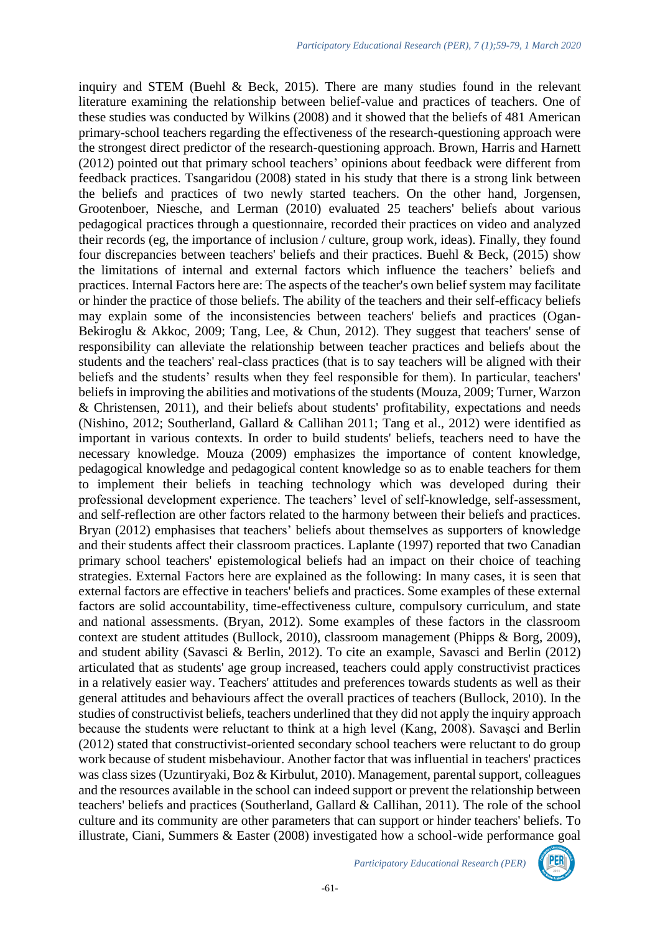inquiry and STEM (Buehl & Beck, 2015). There are many studies found in the relevant literature examining the relationship between belief-value and practices of teachers. One of these studies was conducted by Wilkins (2008) and it showed that the beliefs of 481 American primary-school teachers regarding the effectiveness of the research-questioning approach were the strongest direct predictor of the research-questioning approach. Brown, Harris and Harnett (2012) pointed out that primary school teachers' opinions about feedback were different from feedback practices. Tsangaridou (2008) stated in his study that there is a strong link between the beliefs and practices of two newly started teachers. On the other hand, Jorgensen, Grootenboer, Niesche, and Lerman (2010) evaluated 25 teachers' beliefs about various pedagogical practices through a questionnaire, recorded their practices on video and analyzed their records (eg, the importance of inclusion / culture, group work, ideas). Finally, they found four discrepancies between teachers' beliefs and their practices. Buehl & Beck,  $(2015)$  show the limitations of internal and external factors which influence the teachers' beliefs and practices. Internal Factors here are: The aspects of the teacher's own belief system may facilitate or hinder the practice of those beliefs. The ability of the teachers and their self-efficacy beliefs may explain some of the inconsistencies between teachers' beliefs and practices (Ogan-Bekiroglu & Akkoc, 2009; Tang, Lee, & Chun, 2012). They suggest that teachers' sense of responsibility can alleviate the relationship between teacher practices and beliefs about the students and the teachers' real-class practices (that is to say teachers will be aligned with their beliefs and the students' results when they feel responsible for them). In particular, teachers' beliefs in improving the abilities and motivations of the students (Mouza, 2009; Turner, Warzon & Christensen, 2011), and their beliefs about students' profitability, expectations and needs (Nishino, 2012; Southerland, Gallard & Callihan 2011; Tang et al., 2012) were identified as important in various contexts. In order to build students' beliefs, teachers need to have the necessary knowledge. Mouza (2009) emphasizes the importance of content knowledge, pedagogical knowledge and pedagogical content knowledge so as to enable teachers for them to implement their beliefs in teaching technology which was developed during their professional development experience. The teachers' level of self-knowledge, self-assessment, and self-reflection are other factors related to the harmony between their beliefs and practices. Bryan (2012) emphasises that teachers' beliefs about themselves as supporters of knowledge and their students affect their classroom practices. Laplante (1997) reported that two Canadian primary school teachers' epistemological beliefs had an impact on their choice of teaching strategies. External Factors here are explained as the following: In many cases, it is seen that external factors are effective in teachers' beliefs and practices. Some examples of these external factors are solid accountability, time-effectiveness culture, compulsory curriculum, and state and national assessments. (Bryan, 2012). Some examples of these factors in the classroom context are student attitudes (Bullock, 2010), classroom management (Phipps & Borg, 2009), and student ability (Savasci & Berlin, 2012). To cite an example, Savasci and Berlin (2012) articulated that as students' age group increased, teachers could apply constructivist practices in a relatively easier way. Teachers' attitudes and preferences towards students as well as their general attitudes and behaviours affect the overall practices of teachers (Bullock, 2010). In the studies of constructivist beliefs, teachers underlined that they did not apply the inquiry approach because the students were reluctant to think at a high level (Kang, 2008). Savaşci and Berlin (2012) stated that constructivist-oriented secondary school teachers were reluctant to do group work because of student misbehaviour. Another factor that was influential in teachers' practices was class sizes (Uzuntiryaki, Boz & Kirbulut, 2010). Management, parental support, colleagues and the resources available in the school can indeed support or prevent the relationship between teachers' beliefs and practices (Southerland, Gallard & Callihan, 2011). The role of the school culture and its community are other parameters that can support or hinder teachers' beliefs. To illustrate, Ciani, Summers & Easter (2008) investigated how a school-wide performance goal

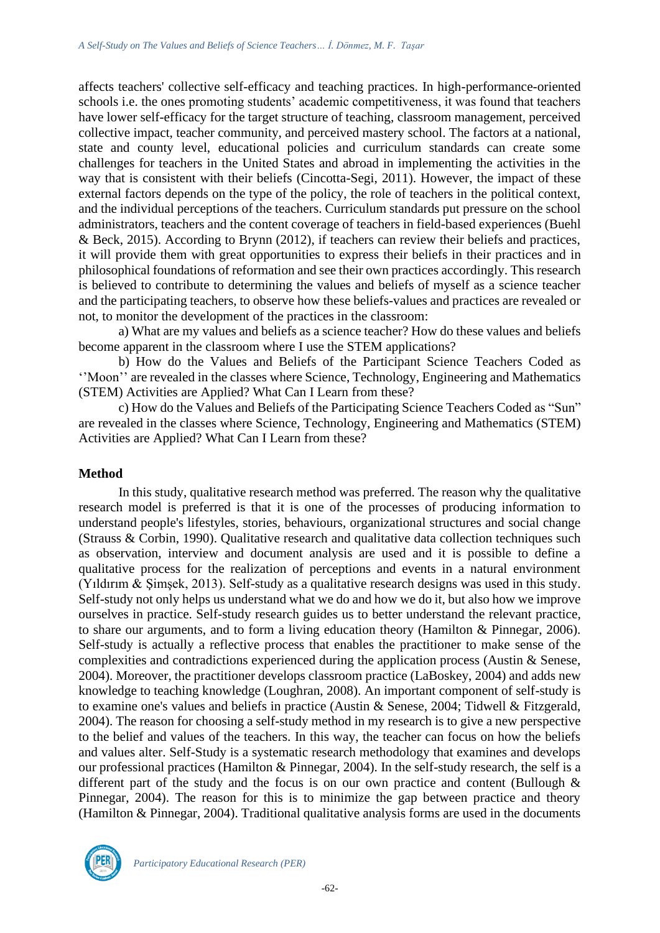affects teachers' collective self-efficacy and teaching practices. In high-performance-oriented schools i.e. the ones promoting students' academic competitiveness, it was found that teachers have lower self-efficacy for the target structure of teaching, classroom management, perceived collective impact, teacher community, and perceived mastery school. The factors at a national, state and county level, educational policies and curriculum standards can create some challenges for teachers in the United States and abroad in implementing the activities in the way that is consistent with their beliefs (Cincotta-Segi, 2011). However, the impact of these external factors depends on the type of the policy, the role of teachers in the political context, and the individual perceptions of the teachers. Curriculum standards put pressure on the school administrators, teachers and the content coverage of teachers in field-based experiences (Buehl & Beck, 2015). According to Brynn (2012), if teachers can review their beliefs and practices, it will provide them with great opportunities to express their beliefs in their practices and in philosophical foundations of reformation and see their own practices accordingly. This research is believed to contribute to determining the values and beliefs of myself as a science teacher and the participating teachers, to observe how these beliefs-values and practices are revealed or not, to monitor the development of the practices in the classroom:

a) What are my values and beliefs as a science teacher? How do these values and beliefs become apparent in the classroom where I use the STEM applications?

b) How do the Values and Beliefs of the Participant Science Teachers Coded as ''Moon'' are revealed in the classes where Science, Technology, Engineering and Mathematics (STEM) Activities are Applied? What Can I Learn from these?

c) How do the Values and Beliefs of the Participating Science Teachers Coded as "Sun" are revealed in the classes where Science, Technology, Engineering and Mathematics (STEM) Activities are Applied? What Can I Learn from these?

### **Method**

In this study, qualitative research method was preferred. The reason why the qualitative research model is preferred is that it is one of the processes of producing information to understand people's lifestyles, stories, behaviours, organizational structures and social change (Strauss & Corbin, 1990). Qualitative research and qualitative data collection techniques such as observation, interview and document analysis are used and it is possible to define a qualitative process for the realization of perceptions and events in a natural environment (Yıldırım & Şimşek, 2013). Self-study as a qualitative research designs was used in this study. Self-study not only helps us understand what we do and how we do it, but also how we improve ourselves in practice. Self-study research guides us to better understand the relevant practice, to share our arguments, and to form a living education theory (Hamilton & Pinnegar, 2006). Self-study is actually a reflective process that enables the practitioner to make sense of the complexities and contradictions experienced during the application process (Austin & Senese, 2004). Moreover, the practitioner develops classroom practice (LaBoskey, 2004) and adds new knowledge to teaching knowledge (Loughran, 2008). An important component of self-study is to examine one's values and beliefs in practice (Austin & Senese, 2004; Tidwell & Fitzgerald, 2004). The reason for choosing a self-study method in my research is to give a new perspective to the belief and values of the teachers. In this way, the teacher can focus on how the beliefs and values alter. Self-Study is a systematic research methodology that examines and develops our professional practices (Hamilton & Pinnegar, 2004). In the self-study research, the self is a different part of the study and the focus is on our own practice and content (Bullough & Pinnegar, 2004). The reason for this is to minimize the gap between practice and theory (Hamilton & Pinnegar, 2004). Traditional qualitative analysis forms are used in the documents

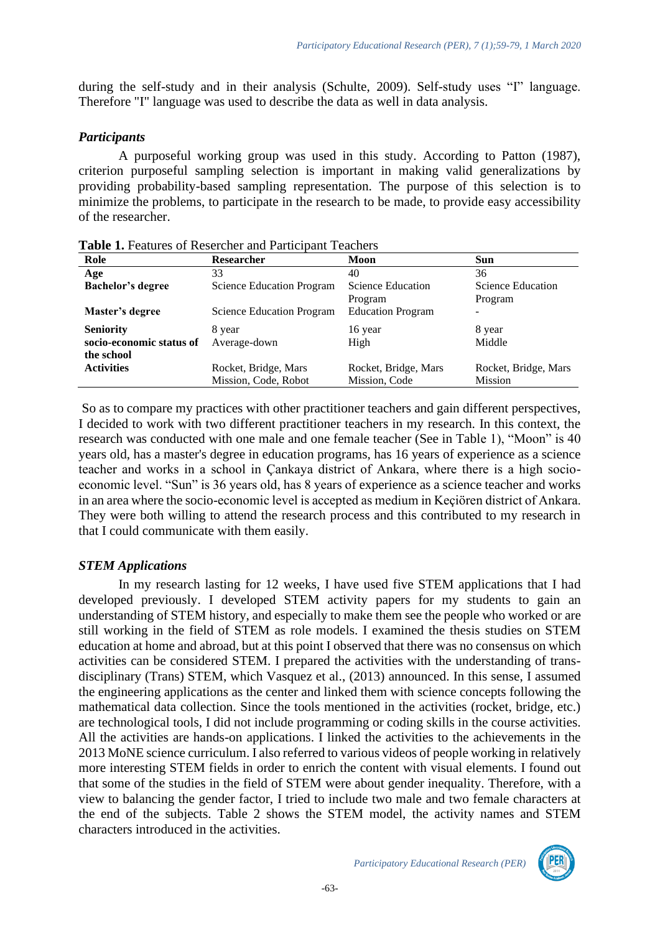during the self-study and in their analysis (Schulte, 2009). Self-study uses "I" language. Therefore "I" language was used to describe the data as well in data analysis.

# *Participants*

A purposeful working group was used in this study. According to Patton (1987), criterion purposeful sampling selection is important in making valid generalizations by providing probability-based sampling representation. The purpose of this selection is to minimize the problems, to participate in the research to be made, to provide easy accessibility of the researcher.

| Role                     | <b>Researcher</b>                | Moon                     | <b>Sun</b>           |
|--------------------------|----------------------------------|--------------------------|----------------------|
| Age                      | 33                               | 40                       | 36                   |
| <b>Bachelor's degree</b> | <b>Science Education Program</b> | <b>Science Education</b> | Science Education    |
|                          |                                  | Program                  | Program              |
| Master's degree          | <b>Science Education Program</b> | <b>Education Program</b> |                      |
| <b>Seniority</b>         | 8 year                           | 16 year                  | 8 year               |
| socio-economic status of | Average-down                     | High                     | Middle               |
| the school               |                                  |                          |                      |
| <b>Activities</b>        | Rocket, Bridge, Mars             | Rocket, Bridge, Mars     | Rocket, Bridge, Mars |
|                          | Mission, Code, Robot             | Mission, Code            | <b>Mission</b>       |

**Table 1.** Features of Resercher and Participant Teachers

So as to compare my practices with other practitioner teachers and gain different perspectives, I decided to work with two different practitioner teachers in my research. In this context, the research was conducted with one male and one female teacher (See in Table 1), "Moon" is 40 years old, has a master's degree in education programs, has 16 years of experience as a science teacher and works in a school in Çankaya district of Ankara, where there is a high socioeconomic level. "Sun" is 36 years old, has 8 years of experience as a science teacher and works in an area where the socio-economic level is accepted as medium in Keçiören district of Ankara. They were both willing to attend the research process and this contributed to my research in that I could communicate with them easily.

# *STEM Applications*

In my research lasting for 12 weeks, I have used five STEM applications that I had developed previously. I developed STEM activity papers for my students to gain an understanding of STEM history, and especially to make them see the people who worked or are still working in the field of STEM as role models. I examined the thesis studies on STEM education at home and abroad, but at this point I observed that there was no consensus on which activities can be considered STEM. I prepared the activities with the understanding of transdisciplinary (Trans) STEM, which Vasquez et al., (2013) announced. In this sense, I assumed the engineering applications as the center and linked them with science concepts following the mathematical data collection. Since the tools mentioned in the activities (rocket, bridge, etc.) are technological tools, I did not include programming or coding skills in the course activities. All the activities are hands-on applications. I linked the activities to the achievements in the 2013 MoNE science curriculum. I also referred to various videos of people working in relatively more interesting STEM fields in order to enrich the content with visual elements. I found out that some of the studies in the field of STEM were about gender inequality. Therefore, with a view to balancing the gender factor, I tried to include two male and two female characters at the end of the subjects. Table 2 shows the STEM model, the activity names and STEM characters introduced in the activities.

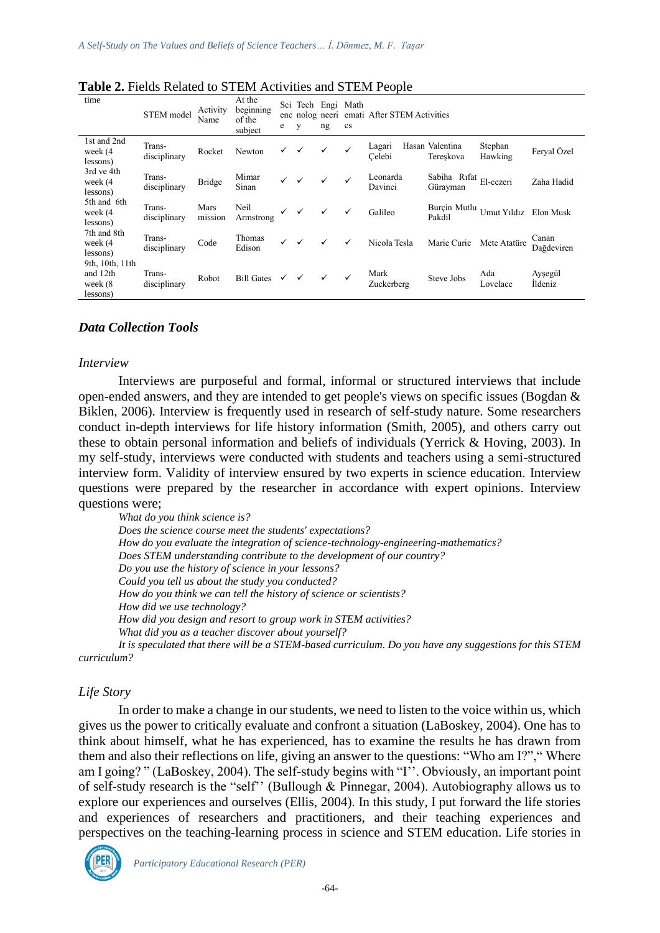| time                                                | STEM model             | Activity<br>Name | At the<br>beginning<br>of the<br>subject | e            | Sci Tech Engi Math<br>у | ng           | cs           | enc nolog neeri emati After STEM Activities |                                       |                       |                            |
|-----------------------------------------------------|------------------------|------------------|------------------------------------------|--------------|-------------------------|--------------|--------------|---------------------------------------------|---------------------------------------|-----------------------|----------------------------|
| 1st and 2nd<br>week (4<br>lessons)                  | Trans-<br>disciplinary | Rocket           | Newton                                   | $\checkmark$ | $\checkmark$            | $\checkmark$ | $\checkmark$ | Lagari<br>Celebi                            | Hasan Valentina<br>Tereskova          | Stephan<br>Hawking    | Feryal Özel                |
| 3rd ve 4th<br>week (4<br>lessons)                   | Trans-<br>disciplinary | <b>Bridge</b>    | Mimar<br>Sinan                           | $\checkmark$ | $\checkmark$            | ✓            |              | Leonarda<br>Davinci                         | Sabiha Rıfat $E1$ -cezeri<br>Gürayman |                       | Zaha Hadid                 |
| 5th and 6th<br>week (4<br>lessons)                  | Trans-<br>disciplinary | Mars<br>mission  | Neil<br>Armstrong                        | $\checkmark$ | $\checkmark$            | ✓            | ✓            | Galileo                                     | Burçin Mutlu<br>Pakdil                | Umut Yıldız Elon Musk |                            |
| 7th and 8th<br>week (4<br>lessons)                  | Trans-<br>disciplinary | Code             | Thomas<br>Edison                         | $\checkmark$ | $\checkmark$            | $\checkmark$ | $\checkmark$ | Nicola Tesla                                | Marie Curie                           | Mete Atatüre          | Canan<br>Dağdeviren        |
| 9th, 10th, 11th<br>and 12th<br>week (8)<br>lessons) | Trans-<br>disciplinary | Robot            | Bill Gates $\checkmark$                  |              | $\checkmark$            | $\checkmark$ |              | Mark<br>Zuckerberg                          | Steve Jobs                            | Ada<br>Lovelace       | Ayşegül<br><i>I</i> ldeniz |

**Table 2.** Fields Related to STEM Activities and STEM People

### *Data Collection Tools*

#### *Interview*

Interviews are purposeful and formal, informal or structured interviews that include open-ended answers, and they are intended to get people's views on specific issues (Bogdan & Biklen, 2006). Interview is frequently used in research of self-study nature. Some researchers conduct in-depth interviews for life history information (Smith, 2005), and others carry out these to obtain personal information and beliefs of individuals (Yerrick & Hoving, 2003). In my self-study, interviews were conducted with students and teachers using a semi-structured interview form. Validity of interview ensured by two experts in science education. Interview questions were prepared by the researcher in accordance with expert opinions. Interview questions were;

*What do you think science is? Does the science course meet the students' expectations? How do you evaluate the integration of science-technology-engineering-mathematics? Does STEM understanding contribute to the development of our country? Do you use the history of science in your lessons? Could you tell us about the study you conducted? How do you think we can tell the history of science or scientists? How did we use technology? How did you design and resort to group work in STEM activities? What did you as a teacher discover about yourself? It is speculated that there will be a STEM-based curriculum. Do you have any suggestions for this STEM curriculum?*

#### *Life Story*

In order to make a change in our students, we need to listen to the voice within us, which gives us the power to critically evaluate and confront a situation (LaBoskey, 2004). One has to think about himself, what he has experienced, has to examine the results he has drawn from them and also their reflections on life, giving an answer to the questions: "Who am I?"," Where am I going? " (LaBoskey, 2004). The self-study begins with "I''. Obviously, an important point of self-study research is the "self'' (Bullough & Pinnegar, 2004). Autobiography allows us to explore our experiences and ourselves (Ellis, 2004). In this study, I put forward the life stories and experiences of researchers and practitioners, and their teaching experiences and perspectives on the teaching-learning process in science and STEM education. Life stories in

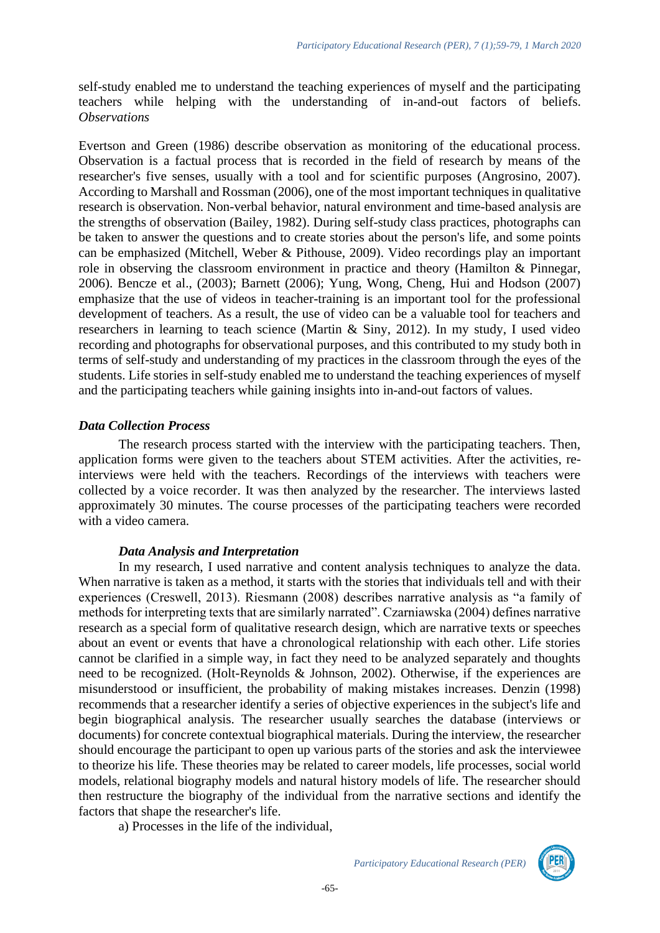self-study enabled me to understand the teaching experiences of myself and the participating teachers while helping with the understanding of in-and-out factors of beliefs. *Observations* 

Evertson and Green (1986) describe observation as monitoring of the educational process. Observation is a factual process that is recorded in the field of research by means of the researcher's five senses, usually with a tool and for scientific purposes (Angrosino, 2007). According to Marshall and Rossman (2006), one of the most important techniques in qualitative research is observation. Non-verbal behavior, natural environment and time-based analysis are the strengths of observation (Bailey, 1982). During self-study class practices, photographs can be taken to answer the questions and to create stories about the person's life, and some points can be emphasized (Mitchell, Weber & Pithouse, 2009). Video recordings play an important role in observing the classroom environment in practice and theory (Hamilton & Pinnegar, 2006). Bencze et al., (2003); Barnett (2006); Yung, Wong, Cheng, Hui and Hodson (2007) emphasize that the use of videos in teacher-training is an important tool for the professional development of teachers. As a result, the use of video can be a valuable tool for teachers and researchers in learning to teach science (Martin & Siny, 2012). In my study, I used video recording and photographs for observational purposes, and this contributed to my study both in terms of self-study and understanding of my practices in the classroom through the eyes of the students. Life stories in self-study enabled me to understand the teaching experiences of myself and the participating teachers while gaining insights into in-and-out factors of values.

# *Data Collection Process*

The research process started with the interview with the participating teachers. Then, application forms were given to the teachers about STEM activities. After the activities, reinterviews were held with the teachers. Recordings of the interviews with teachers were collected by a voice recorder. It was then analyzed by the researcher. The interviews lasted approximately 30 minutes. The course processes of the participating teachers were recorded with a video camera.

### *Data Analysis and Interpretation*

In my research, I used narrative and content analysis techniques to analyze the data. When narrative is taken as a method, it starts with the stories that individuals tell and with their experiences (Creswell, 2013). Riesmann (2008) describes narrative analysis as "a family of methods for interpreting texts that are similarly narrated". Czarniawska (2004) defines narrative research as a special form of qualitative research design, which are narrative texts or speeches about an event or events that have a chronological relationship with each other. Life stories cannot be clarified in a simple way, in fact they need to be analyzed separately and thoughts need to be recognized. (Holt-Reynolds & Johnson, 2002). Otherwise, if the experiences are misunderstood or insufficient, the probability of making mistakes increases. Denzin (1998) recommends that a researcher identify a series of objective experiences in the subject's life and begin biographical analysis. The researcher usually searches the database (interviews or documents) for concrete contextual biographical materials. During the interview, the researcher should encourage the participant to open up various parts of the stories and ask the interviewee to theorize his life. These theories may be related to career models, life processes, social world models, relational biography models and natural history models of life. The researcher should then restructure the biography of the individual from the narrative sections and identify the factors that shape the researcher's life.

a) Processes in the life of the individual,

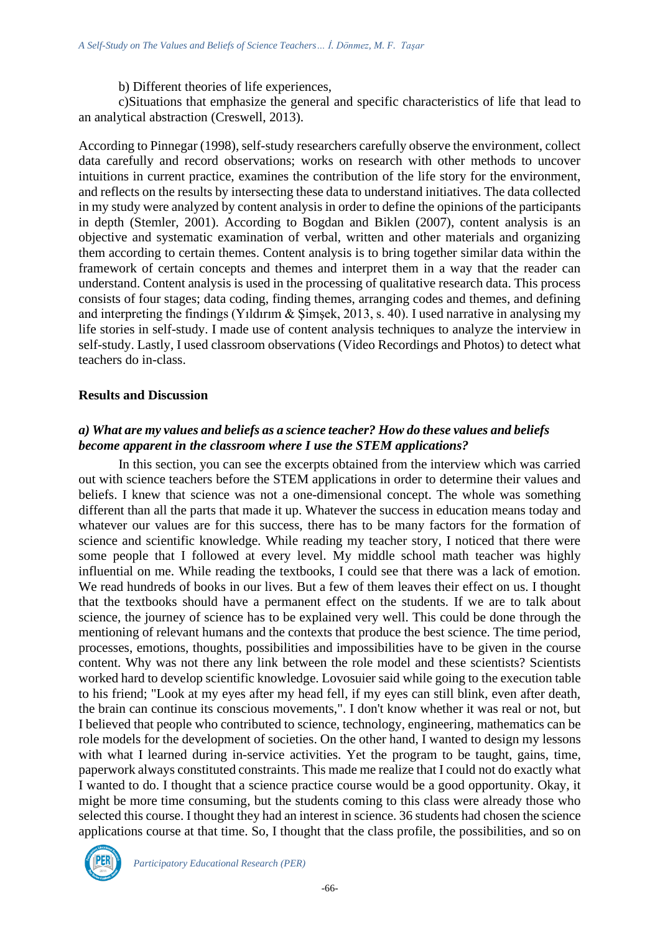b) Different theories of life experiences,

c)Situations that emphasize the general and specific characteristics of life that lead to an analytical abstraction (Creswell, 2013).

According to Pinnegar (1998), self-study researchers carefully observe the environment, collect data carefully and record observations; works on research with other methods to uncover intuitions in current practice, examines the contribution of the life story for the environment, and reflects on the results by intersecting these data to understand initiatives. The data collected in my study were analyzed by content analysis in order to define the opinions of the participants in depth (Stemler, 2001). According to Bogdan and Biklen (2007), content analysis is an objective and systematic examination of verbal, written and other materials and organizing them according to certain themes. Content analysis is to bring together similar data within the framework of certain concepts and themes and interpret them in a way that the reader can understand. Content analysis is used in the processing of qualitative research data. This process consists of four stages; data coding, finding themes, arranging codes and themes, and defining and interpreting the findings (Yıldırım & Şimşek, 2013, s. 40). I used narrative in analysing my life stories in self-study. I made use of content analysis techniques to analyze the interview in self-study. Lastly, I used classroom observations (Video Recordings and Photos) to detect what teachers do in-class.

# **Results and Discussion**

# *a) What are my values and beliefs as a science teacher? How do these values and beliefs become apparent in the classroom where I use the STEM applications?*

In this section, you can see the excerpts obtained from the interview which was carried out with science teachers before the STEM applications in order to determine their values and beliefs. I knew that science was not a one-dimensional concept. The whole was something different than all the parts that made it up. Whatever the success in education means today and whatever our values are for this success, there has to be many factors for the formation of science and scientific knowledge. While reading my teacher story, I noticed that there were some people that I followed at every level. My middle school math teacher was highly influential on me. While reading the textbooks, I could see that there was a lack of emotion. We read hundreds of books in our lives. But a few of them leaves their effect on us. I thought that the textbooks should have a permanent effect on the students. If we are to talk about science, the journey of science has to be explained very well. This could be done through the mentioning of relevant humans and the contexts that produce the best science. The time period, processes, emotions, thoughts, possibilities and impossibilities have to be given in the course content. Why was not there any link between the role model and these scientists? Scientists worked hard to develop scientific knowledge. Lovosuier said while going to the execution table to his friend; "Look at my eyes after my head fell, if my eyes can still blink, even after death, the brain can continue its conscious movements,". I don't know whether it was real or not, but I believed that people who contributed to science, technology, engineering, mathematics can be role models for the development of societies. On the other hand, I wanted to design my lessons with what I learned during in-service activities. Yet the program to be taught, gains, time, paperwork always constituted constraints. This made me realize that I could not do exactly what I wanted to do. I thought that a science practice course would be a good opportunity. Okay, it might be more time consuming, but the students coming to this class were already those who selected this course. I thought they had an interest in science. 36 students had chosen the science applications course at that time. So, I thought that the class profile, the possibilities, and so on

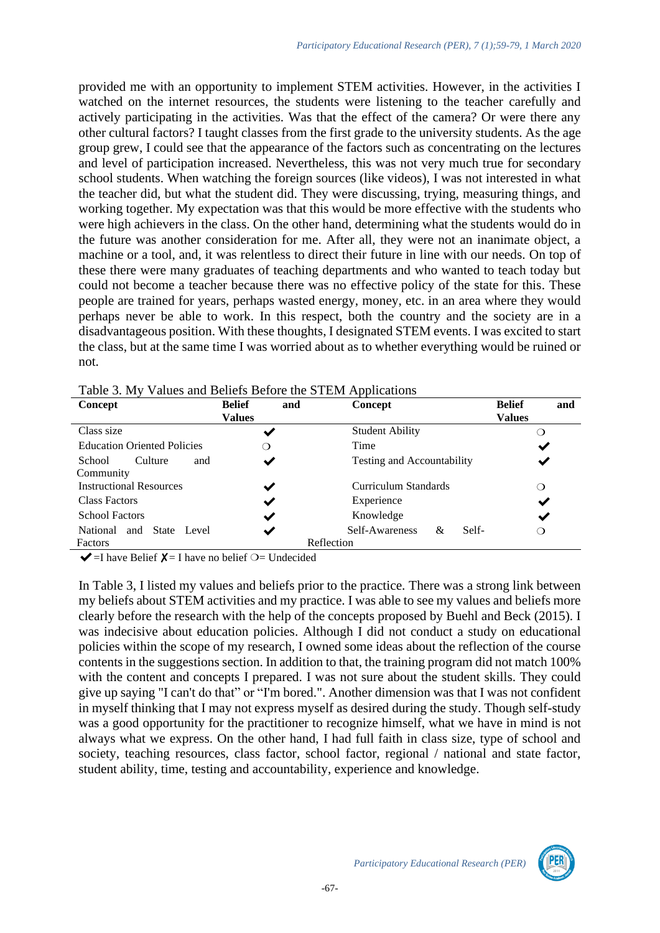provided me with an opportunity to implement STEM activities. However, in the activities I watched on the internet resources, the students were listening to the teacher carefully and actively participating in the activities. Was that the effect of the camera? Or were there any other cultural factors? I taught classes from the first grade to the university students. As the age group grew, I could see that the appearance of the factors such as concentrating on the lectures and level of participation increased. Nevertheless, this was not very much true for secondary school students. When watching the foreign sources (like videos), I was not interested in what the teacher did, but what the student did. They were discussing, trying, measuring things, and working together. My expectation was that this would be more effective with the students who were high achievers in the class. On the other hand, determining what the students would do in the future was another consideration for me. After all, they were not an inanimate object, a machine or a tool, and, it was relentless to direct their future in line with our needs. On top of these there were many graduates of teaching departments and who wanted to teach today but could not become a teacher because there was no effective policy of the state for this. These people are trained for years, perhaps wasted energy, money, etc. in an area where they would perhaps never be able to work. In this respect, both the country and the society are in a disadvantageous position. With these thoughts, I designated STEM events. I was excited to start the class, but at the same time I was worried about as to whether everything would be ruined or not.

| Table 3. My Values and Beliefs Before the STEM Applications |  |  |  |  |  |
|-------------------------------------------------------------|--|--|--|--|--|
|-------------------------------------------------------------|--|--|--|--|--|

| Concept                               | <b>Belief</b><br>and | Concept                      | <b>Belief</b><br>and |
|---------------------------------------|----------------------|------------------------------|----------------------|
|                                       | <b>Values</b>        |                              | <b>Values</b>        |
| Class size                            | ✔                    | <b>Student Ability</b>       |                      |
| <b>Education Oriented Policies</b>    | ∩                    | Time                         | ✔                    |
| Culture<br>School<br>and<br>Community | ✔                    | Testing and Accountability   |                      |
| <b>Instructional Resources</b>        | ✔                    | Curriculum Standards         | ∩                    |
| Class Factors                         | ✔                    | Experience                   | ✔                    |
| <b>School Factors</b>                 | ✔                    | Knowledge                    | ✔                    |
| and State Level<br>National           | ✔                    | Self-<br>Self-Awareness<br>& | ∩                    |
| Factors                               |                      | Reflection                   |                      |

 $\blacktriangleright$  =I have Belief  $\blacktriangleright$  = I have no belief  $\bigcirc$  = Undecided

In Table 3, I listed my values and beliefs prior to the practice. There was a strong link between my beliefs about STEM activities and my practice. I was able to see my values and beliefs more clearly before the research with the help of the concepts proposed by Buehl and Beck (2015). I was indecisive about education policies. Although I did not conduct a study on educational policies within the scope of my research, I owned some ideas about the reflection of the course contents in the suggestions section. In addition to that, the training program did not match 100% with the content and concepts I prepared. I was not sure about the student skills. They could give up saying "I can't do that" or "I'm bored.". Another dimension was that I was not confident in myself thinking that I may not express myself as desired during the study. Though self-study was a good opportunity for the practitioner to recognize himself, what we have in mind is not always what we express. On the other hand, I had full faith in class size, type of school and society, teaching resources, class factor, school factor, regional / national and state factor, student ability, time, testing and accountability, experience and knowledge.

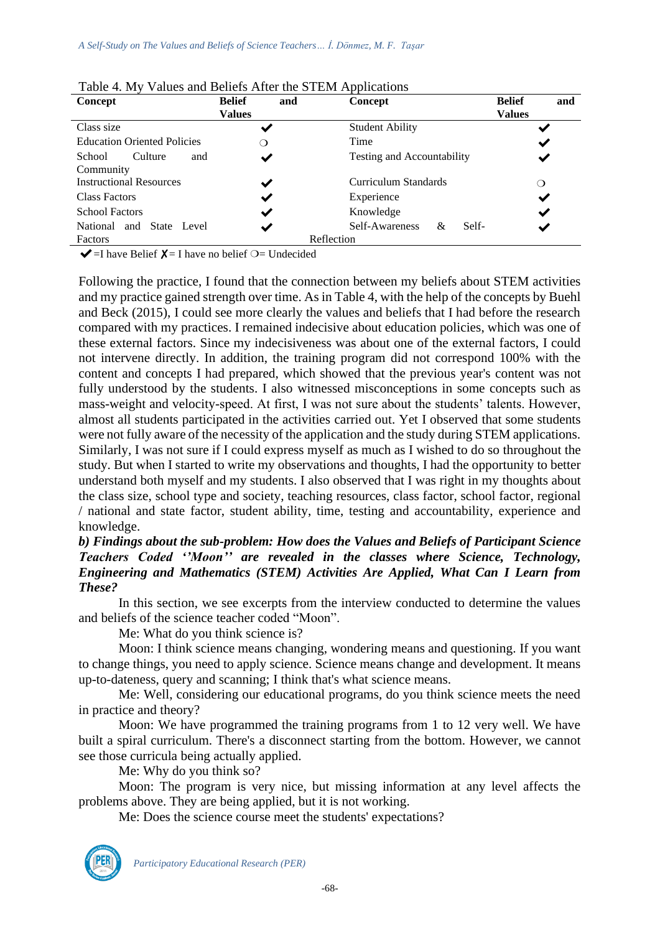| Concept                               | <b>Belief</b><br>and | Concept                           | <b>Belief</b><br>and |
|---------------------------------------|----------------------|-----------------------------------|----------------------|
|                                       | <b>Values</b>        |                                   | <b>Values</b>        |
| Class size                            | ✔                    | <b>Student Ability</b>            |                      |
| <b>Education Oriented Policies</b>    | ∩                    | Time                              | ✔                    |
| Culture<br>School<br>and<br>Community | ✔                    | <b>Testing and Accountability</b> |                      |
| <b>Instructional Resources</b>        | ✔                    | Curriculum Standards              | ◯                    |
| Class Factors                         | ✔                    | Experience                        | ✔                    |
| <b>School Factors</b>                 | $\checkmark$         | Knowledge                         | ✔                    |
| and State<br><b>National</b><br>Level | $\checkmark$         | Self-Awareness<br>Self-<br>&      | ✔                    |
| Factors                               |                      | Reflection                        |                      |

| Table 4. My Values and Beliefs After the STEM Applications |  |  |  |  |  |
|------------------------------------------------------------|--|--|--|--|--|
|------------------------------------------------------------|--|--|--|--|--|

 $\blacktriangleright$  =I have Belief  $\blacktriangleright$  = I have no belief  $\bigcirc$  = Undecided

Following the practice, I found that the connection between my beliefs about STEM activities and my practice gained strength over time. As in Table 4, with the help of the concepts by Buehl and Beck (2015), I could see more clearly the values and beliefs that I had before the research compared with my practices. I remained indecisive about education policies, which was one of these external factors. Since my indecisiveness was about one of the external factors, I could not intervene directly. In addition, the training program did not correspond 100% with the content and concepts I had prepared, which showed that the previous year's content was not fully understood by the students. I also witnessed misconceptions in some concepts such as mass-weight and velocity-speed. At first, I was not sure about the students' talents. However, almost all students participated in the activities carried out. Yet I observed that some students were not fully aware of the necessity of the application and the study during STEM applications. Similarly, I was not sure if I could express myself as much as I wished to do so throughout the study. But when I started to write my observations and thoughts, I had the opportunity to better understand both myself and my students. I also observed that I was right in my thoughts about the class size, school type and society, teaching resources, class factor, school factor, regional / national and state factor, student ability, time, testing and accountability, experience and knowledge.

### *b) Findings about the sub-problem: How does the Values and Beliefs of Participant Science Teachers Coded ''Moon'' are revealed in the classes where Science, Technology, Engineering and Mathematics (STEM) Activities Are Applied, What Can I Learn from These?*

In this section, we see excerpts from the interview conducted to determine the values and beliefs of the science teacher coded "Moon".

Me: What do you think science is?

Moon: I think science means changing, wondering means and questioning. If you want to change things, you need to apply science. Science means change and development. It means up-to-dateness, query and scanning; I think that's what science means.

Me: Well, considering our educational programs, do you think science meets the need in practice and theory?

Moon: We have programmed the training programs from 1 to 12 very well. We have built a spiral curriculum. There's a disconnect starting from the bottom. However, we cannot see those curricula being actually applied.

Me: Why do you think so?

Moon: The program is very nice, but missing information at any level affects the problems above. They are being applied, but it is not working.

Me: Does the science course meet the students' expectations?

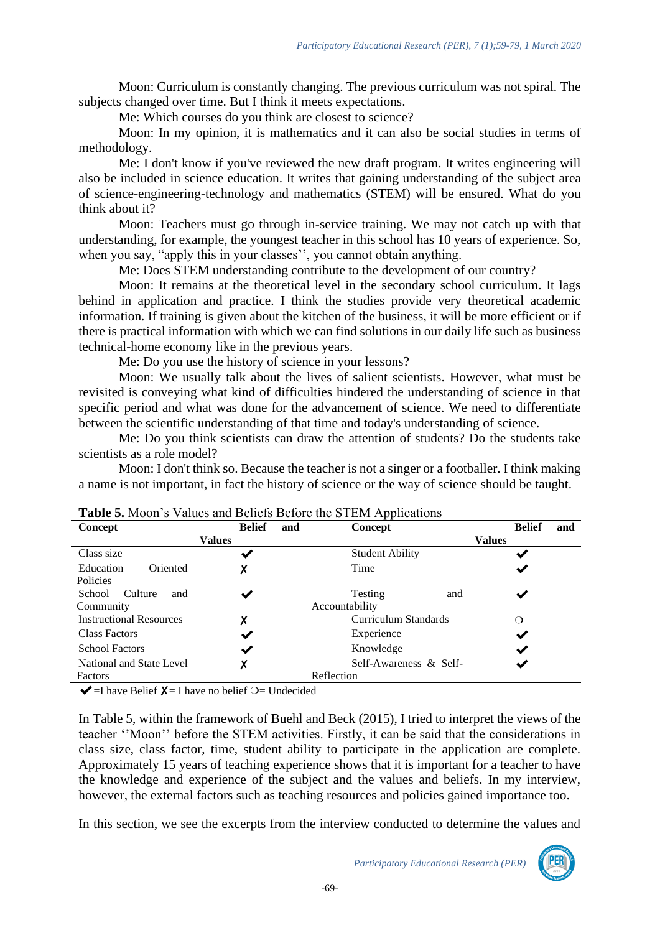Moon: Curriculum is constantly changing. The previous curriculum was not spiral. The subjects changed over time. But I think it meets expectations.

Me: Which courses do you think are closest to science?

Moon: In my opinion, it is mathematics and it can also be social studies in terms of methodology.

Me: I don't know if you've reviewed the new draft program. It writes engineering will also be included in science education. It writes that gaining understanding of the subject area of science-engineering-technology and mathematics (STEM) will be ensured. What do you think about it?

Moon: Teachers must go through in-service training. We may not catch up with that understanding, for example, the youngest teacher in this school has 10 years of experience. So, when you say, "apply this in your classes'', you cannot obtain anything.

Me: Does STEM understanding contribute to the development of our country?

Moon: It remains at the theoretical level in the secondary school curriculum. It lags behind in application and practice. I think the studies provide very theoretical academic information. If training is given about the kitchen of the business, it will be more efficient or if there is practical information with which we can find solutions in our daily life such as business technical-home economy like in the previous years.

Me: Do you use the history of science in your lessons?

Moon: We usually talk about the lives of salient scientists. However, what must be revisited is conveying what kind of difficulties hindered the understanding of science in that specific period and what was done for the advancement of science. We need to differentiate between the scientific understanding of that time and today's understanding of science.

Me: Do you think scientists can draw the attention of students? Do the students take scientists as a role model?

Moon: I don't think so. Because the teacher is not a singer or a footballer. I think making a name is not important, in fact the history of science or the way of science should be taught.

| <b>THERE</b> OF HOOD 5 YESTERD WILL DUITED DUTIES TO BE THE TEPPHORIOUS<br>Concept | <b>Belief</b> | and | Concept                |     | <b>Belief</b> | and |
|------------------------------------------------------------------------------------|---------------|-----|------------------------|-----|---------------|-----|
|                                                                                    | <b>Values</b> |     |                        |     | <b>Values</b> |     |
| Class size                                                                         | ✔             |     | <b>Student Ability</b> |     | ✔             |     |
| Oriented<br>Education                                                              |               |     | Time                   |     | ✔             |     |
| Policies                                                                           |               |     |                        |     |               |     |
| School<br>Culture<br>and                                                           | ✔             |     | <b>Testing</b>         | and |               |     |
| Community                                                                          |               |     | Accountability         |     |               |     |
| <b>Instructional Resources</b>                                                     | Χ             |     | Curriculum Standards   |     | ∩             |     |
| <b>Class Factors</b>                                                               |               |     | Experience             |     | ✔             |     |
| <b>School Factors</b>                                                              | ✔             |     | Knowledge              |     | ✔             |     |
| National and State Level                                                           |               |     | Self-Awareness & Self- |     | ✔             |     |
| Factors                                                                            |               |     | Reflection             |     |               |     |

**Table 5.** Moon's Values and Beliefs Before the STEM Applications

 $\blacktriangleright$  =I have Belief  $\blacktriangleright$  = I have no belief  $\bigcirc$  = Undecided

In Table 5, within the framework of Buehl and Beck (2015), I tried to interpret the views of the teacher ''Moon'' before the STEM activities. Firstly, it can be said that the considerations in class size, class factor, time, student ability to participate in the application are complete. Approximately 15 years of teaching experience shows that it is important for a teacher to have the knowledge and experience of the subject and the values and beliefs. In my interview, however, the external factors such as teaching resources and policies gained importance too.

In this section, we see the excerpts from the interview conducted to determine the values and

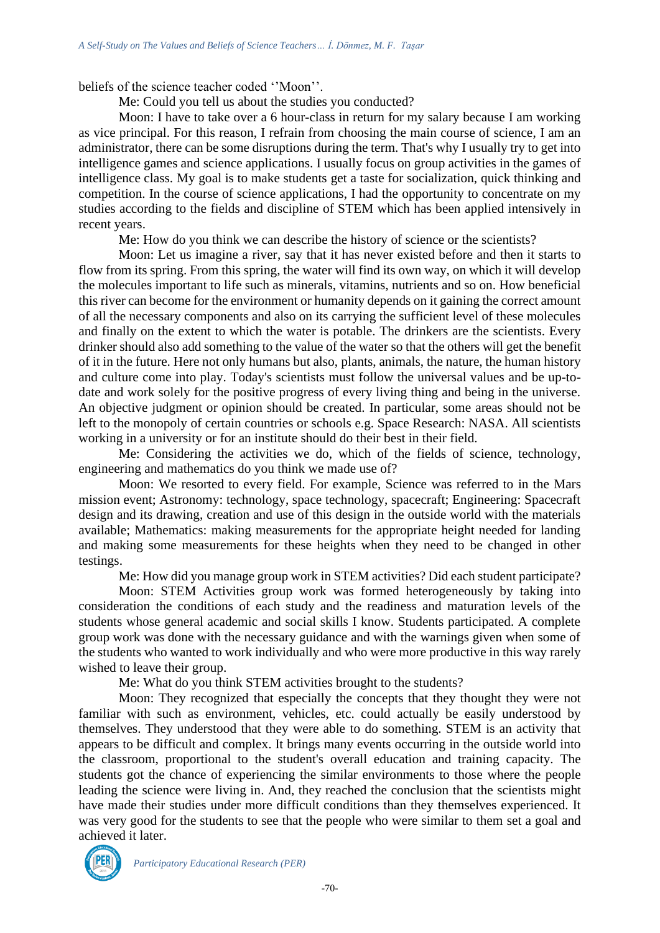beliefs of the science teacher coded ''Moon''.

Me: Could you tell us about the studies you conducted?

Moon: I have to take over a 6 hour-class in return for my salary because I am working as vice principal. For this reason, I refrain from choosing the main course of science, I am an administrator, there can be some disruptions during the term. That's why I usually try to get into intelligence games and science applications. I usually focus on group activities in the games of intelligence class. My goal is to make students get a taste for socialization, quick thinking and competition. In the course of science applications, I had the opportunity to concentrate on my studies according to the fields and discipline of STEM which has been applied intensively in recent years.

Me: How do you think we can describe the history of science or the scientists?

Moon: Let us imagine a river, say that it has never existed before and then it starts to flow from its spring. From this spring, the water will find its own way, on which it will develop the molecules important to life such as minerals, vitamins, nutrients and so on. How beneficial this river can become for the environment or humanity depends on it gaining the correct amount of all the necessary components and also on its carrying the sufficient level of these molecules and finally on the extent to which the water is potable. The drinkers are the scientists. Every drinker should also add something to the value of the water so that the others will get the benefit of it in the future. Here not only humans but also, plants, animals, the nature, the human history and culture come into play. Today's scientists must follow the universal values and be up-todate and work solely for the positive progress of every living thing and being in the universe. An objective judgment or opinion should be created. In particular, some areas should not be left to the monopoly of certain countries or schools e.g. Space Research: NASA. All scientists working in a university or for an institute should do their best in their field.

Me: Considering the activities we do, which of the fields of science, technology, engineering and mathematics do you think we made use of?

Moon: We resorted to every field. For example, Science was referred to in the Mars mission event; Astronomy: technology, space technology, spacecraft; Engineering: Spacecraft design and its drawing, creation and use of this design in the outside world with the materials available; Mathematics: making measurements for the appropriate height needed for landing and making some measurements for these heights when they need to be changed in other testings.

Me: How did you manage group work in STEM activities? Did each student participate?

Moon: STEM Activities group work was formed heterogeneously by taking into consideration the conditions of each study and the readiness and maturation levels of the students whose general academic and social skills I know. Students participated. A complete group work was done with the necessary guidance and with the warnings given when some of the students who wanted to work individually and who were more productive in this way rarely wished to leave their group.

Me: What do you think STEM activities brought to the students?

Moon: They recognized that especially the concepts that they thought they were not familiar with such as environment, vehicles, etc. could actually be easily understood by themselves. They understood that they were able to do something. STEM is an activity that appears to be difficult and complex. It brings many events occurring in the outside world into the classroom, proportional to the student's overall education and training capacity. The students got the chance of experiencing the similar environments to those where the people leading the science were living in. And, they reached the conclusion that the scientists might have made their studies under more difficult conditions than they themselves experienced. It was very good for the students to see that the people who were similar to them set a goal and achieved it later.

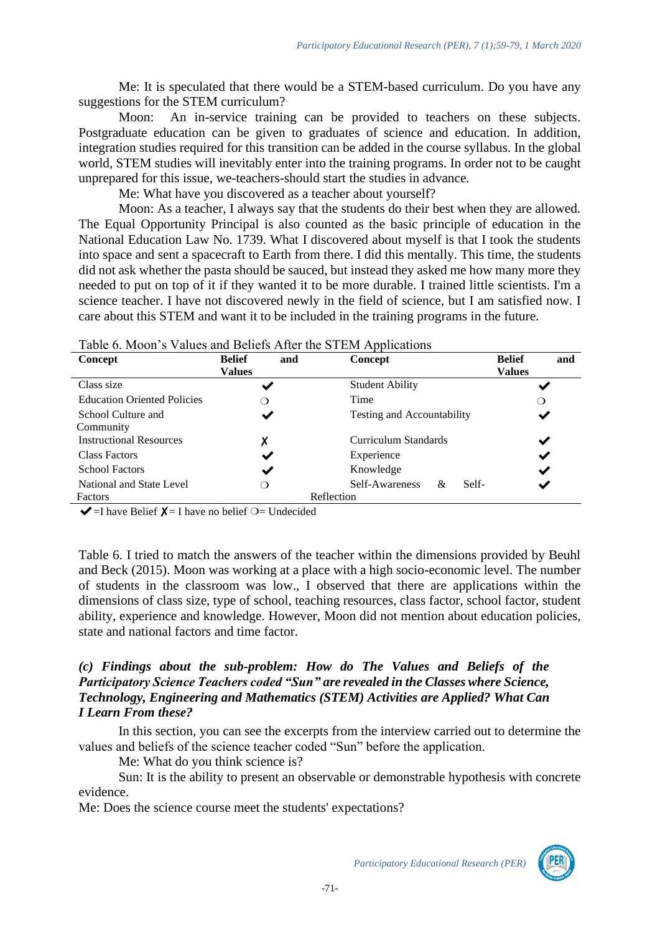Me: It is speculated that there would be a STEM-based curriculum. Do you have any suggestions for the STEM curriculum?

Moon: An in-service training can be provided to teachers on these subjects. Postgraduate education can be given to graduates of science and education. In addition, integration studies required for this transition can be added in the course syllabus. In the global world, STEM studies will inevitably enter into the training programs. In order not to be caught unprepared for this issue, we-teachers-should start the studies in advance.

Me: What have you discovered as a teacher about yourself?

Moon: As a teacher, I always say that the students do their best when they are allowed. The Equal Opportunity Principal is also counted as the basic principle of education in the National Education Law No. 1739. What I discovered about myself is that I took the students into space and sent a spacecraft to Earth from there. I did this mentally. This time, the students did not ask whether the pasta should be sauced, but instead they asked me how many more they needed to put on top of it if they wanted it to be more durable. I trained little scientists. I'm a science teacher. I have not discovered newly in the field of science, but I am satisfied now. I care about this STEM and want it to be included in the training programs in the future.

| Twore of Infooling a way will believe the community of the community of the community |                      |                                   |                      |  |  |
|---------------------------------------------------------------------------------------|----------------------|-----------------------------------|----------------------|--|--|
| Concept                                                                               | <b>Belief</b><br>and | <b>Concept</b>                    | and<br><b>Belief</b> |  |  |
|                                                                                       | <b>Values</b>        |                                   | <b>Values</b>        |  |  |
| Class size                                                                            | ✔                    | <b>Student Ability</b>            |                      |  |  |
| <b>Education Oriented Policies</b>                                                    | ∩                    | Time                              | ∩                    |  |  |
| School Culture and                                                                    | $\checkmark$         | <b>Testing and Accountability</b> |                      |  |  |
| Community                                                                             |                      |                                   |                      |  |  |
| <b>Instructional Resources</b>                                                        | χ                    | Curriculum Standards              |                      |  |  |
| Class Factors                                                                         | ✔                    | Experience                        | $\checkmark$         |  |  |
| <b>School Factors</b>                                                                 | ✔                    | Knowledge                         | ✔                    |  |  |
| National and State Level                                                              | ∩                    | Self-Awareness<br>Self-<br>&      |                      |  |  |
| Factors                                                                               |                      | Reflection                        |                      |  |  |

Table 6. Moon's Values and Beliefs After the STEM Applications

 $\blacktriangleright$  =I have Belief  $\blacktriangleright$  = I have no belief  $\bigcirc$  = Undecided

Table 6. I tried to match the answers of the teacher within the dimensions provided by Beuhl and Beck (2015). Moon was working at a place with a high socio-economic level. The number of students in the classroom was low., I observed that there are applications within the dimensions of class size, type of school, teaching resources, class factor, school factor, student ability, experience and knowledge. However, Moon did not mention about education policies, state and national factors and time factor.

## *(c) Findings about the sub-problem: How do The Values and Beliefs of the Participatory Science Teachers coded "Sun" are revealed in the Classes where Science, Technology, Engineering and Mathematics (STEM) Activities are Applied? What Can I Learn From these?*

In this section, you can see the excerpts from the interview carried out to determine the values and beliefs of the science teacher coded "Sun" before the application.

Me: What do you think science is?

Sun: It is the ability to present an observable or demonstrable hypothesis with concrete evidence.

Me: Does the science course meet the students' expectations?

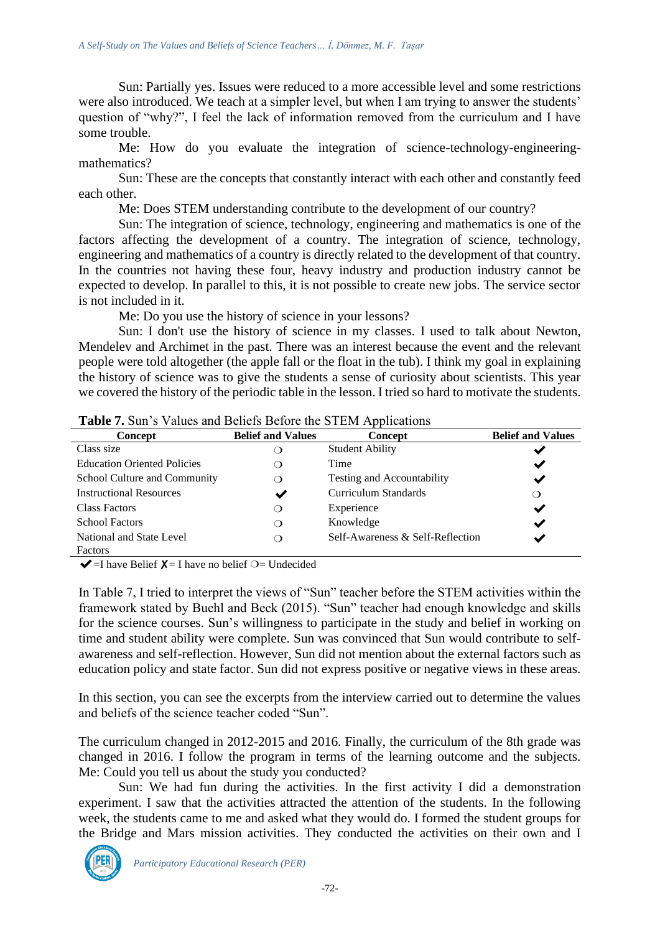Sun: Partially yes. Issues were reduced to a more accessible level and some restrictions were also introduced. We teach at a simpler level, but when I am trying to answer the students' question of "why?", I feel the lack of information removed from the curriculum and I have some trouble.

Me: How do you evaluate the integration of science-technology-engineeringmathematics?

Sun: These are the concepts that constantly interact with each other and constantly feed each other.

Me: Does STEM understanding contribute to the development of our country?

Sun: The integration of science, technology, engineering and mathematics is one of the factors affecting the development of a country. The integration of science, technology, engineering and mathematics of a country is directly related to the development of that country. In the countries not having these four, heavy industry and production industry cannot be expected to develop. In parallel to this, it is not possible to create new jobs. The service sector is not included in it.

Me: Do you use the history of science in your lessons?

Sun: I don't use the history of science in my classes. I used to talk about Newton, Mendelev and Archimet in the past. There was an interest because the event and the relevant people were told altogether (the apple fall or the float in the tub). I think my goal in explaining the history of science was to give the students a sense of curiosity about scientists. This year we covered the history of the periodic table in the lesson. I tried so hard to motivate the students.

| <b>Concept</b>                     | <b>Belief and Values</b> | Concept                           | <b>Belief and Values</b> |
|------------------------------------|--------------------------|-----------------------------------|--------------------------|
| Class size                         | ◯                        | <b>Student Ability</b>            |                          |
| <b>Education Oriented Policies</b> | Э                        | Time                              | ✔                        |
| School Culture and Community       | ◯                        | <b>Testing and Accountability</b> | ✔                        |
| <b>Instructional Resources</b>     | ✔                        | Curriculum Standards              | ◯                        |
| <b>Class Factors</b>               | ◯                        | Experience                        | ✔                        |
| <b>School Factors</b>              | ∩                        | Knowledge                         | ✔                        |
| National and State Level           | റ                        | Self-Awareness & Self-Reflection  | ✔                        |
| Factors                            |                          |                                   |                          |

**Table 7.** Sun's Values and Beliefs Before the STEM Applications

 $\blacktriangleright$  =I have Belief  $\blacktriangleright$  = I have no belief  $\bigcirc$  = Undecided

In Table 7, I tried to interpret the views of "Sun" teacher before the STEM activities within the framework stated by Buehl and Beck (2015). "Sun" teacher had enough knowledge and skills for the science courses. Sun's willingness to participate in the study and belief in working on time and student ability were complete. Sun was convinced that Sun would contribute to selfawareness and self-reflection. However, Sun did not mention about the external factors such as education policy and state factor. Sun did not express positive or negative views in these areas.

In this section, you can see the excerpts from the interview carried out to determine the values and beliefs of the science teacher coded "Sun".

The curriculum changed in 2012-2015 and 2016. Finally, the curriculum of the 8th grade was changed in 2016. I follow the program in terms of the learning outcome and the subjects. Me: Could you tell us about the study you conducted?

Sun: We had fun during the activities. In the first activity I did a demonstration experiment. I saw that the activities attracted the attention of the students. In the following week, the students came to me and asked what they would do. I formed the student groups for the Bridge and Mars mission activities. They conducted the activities on their own and I

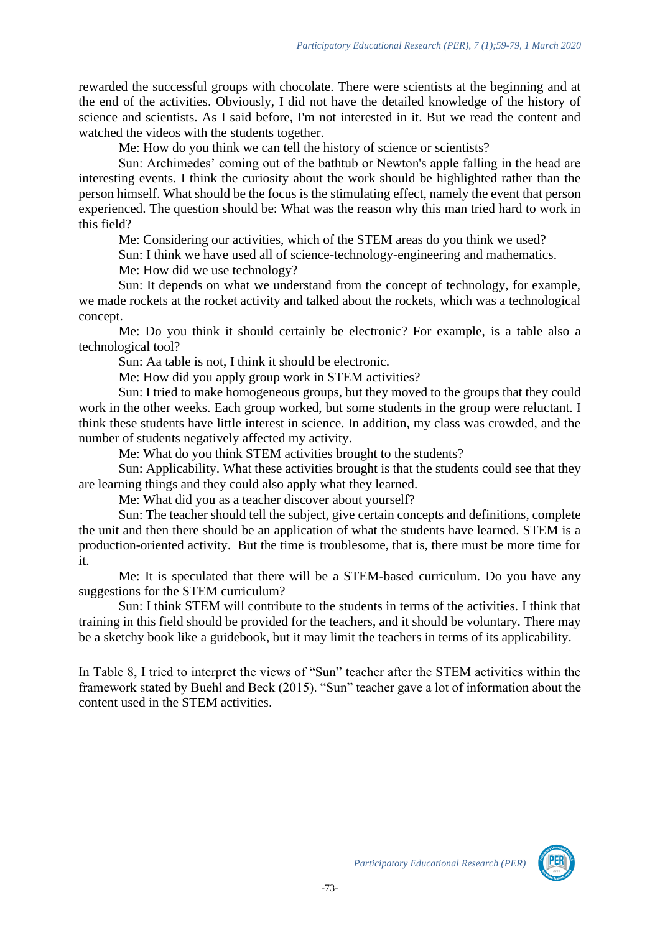rewarded the successful groups with chocolate. There were scientists at the beginning and at the end of the activities. Obviously, I did not have the detailed knowledge of the history of science and scientists. As I said before, I'm not interested in it. But we read the content and watched the videos with the students together.

Me: How do you think we can tell the history of science or scientists?

Sun: Archimedes' coming out of the bathtub or Newton's apple falling in the head are interesting events. I think the curiosity about the work should be highlighted rather than the person himself. What should be the focus is the stimulating effect, namely the event that person experienced. The question should be: What was the reason why this man tried hard to work in this field?

Me: Considering our activities, which of the STEM areas do you think we used?

Sun: I think we have used all of science-technology-engineering and mathematics.

Me: How did we use technology?

Sun: It depends on what we understand from the concept of technology, for example, we made rockets at the rocket activity and talked about the rockets, which was a technological concept.

Me: Do you think it should certainly be electronic? For example, is a table also a technological tool?

Sun: Aa table is not, I think it should be electronic.

Me: How did you apply group work in STEM activities?

Sun: I tried to make homogeneous groups, but they moved to the groups that they could work in the other weeks. Each group worked, but some students in the group were reluctant. I think these students have little interest in science. In addition, my class was crowded, and the number of students negatively affected my activity.

Me: What do you think STEM activities brought to the students?

Sun: Applicability. What these activities brought is that the students could see that they are learning things and they could also apply what they learned.

Me: What did you as a teacher discover about yourself?

Sun: The teacher should tell the subject, give certain concepts and definitions, complete the unit and then there should be an application of what the students have learned. STEM is a production-oriented activity. But the time is troublesome, that is, there must be more time for it.

Me: It is speculated that there will be a STEM-based curriculum. Do you have any suggestions for the STEM curriculum?

Sun: I think STEM will contribute to the students in terms of the activities. I think that training in this field should be provided for the teachers, and it should be voluntary. There may be a sketchy book like a guidebook, but it may limit the teachers in terms of its applicability.

In Table 8, I tried to interpret the views of "Sun" teacher after the STEM activities within the framework stated by Buehl and Beck (2015). "Sun" teacher gave a lot of information about the content used in the STEM activities.

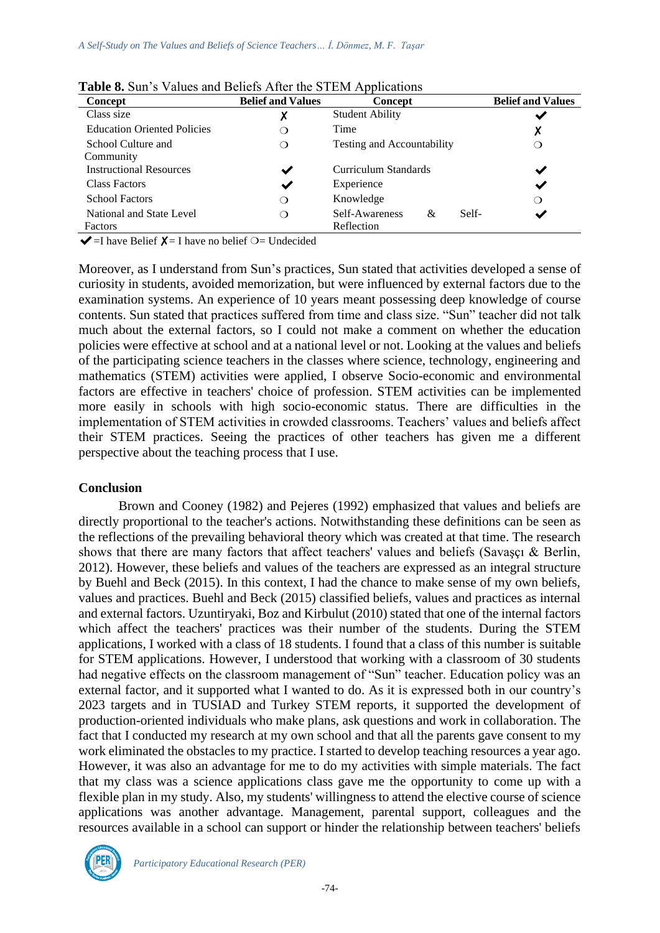| <b>Concept</b>                     | <b>Belief and Values</b> | <b>Concept</b>               | <b>Belief and Values</b> |
|------------------------------------|--------------------------|------------------------------|--------------------------|
| Class size                         | Х                        | <b>Student Ability</b>       |                          |
| <b>Education Oriented Policies</b> | ◯                        | Time                         | х                        |
| School Culture and                 | $\Omega$                 | Testing and Accountability   |                          |
| Community                          |                          |                              |                          |
| <b>Instructional Resources</b>     | ✔                        | Curriculum Standards         | ✔                        |
| <b>Class Factors</b>               | ✔                        | Experience                   | ✔                        |
| <b>School Factors</b>              | ◯                        | Knowledge                    | $\mathbf{\Omega}$        |
| National and State Level           | ◯                        | Self-Awareness<br>Self-<br>& |                          |
| Factors                            |                          | Reflection                   |                          |

**Table 8.** Sun's Values and Beliefs After the STEM Applications

 $\blacktriangleright$  =I have Belief  $\blacktriangleright$  = I have no belief  $\bigcirc$  = Undecided

Moreover, as I understand from Sun's practices, Sun stated that activities developed a sense of curiosity in students, avoided memorization, but were influenced by external factors due to the examination systems. An experience of 10 years meant possessing deep knowledge of course contents. Sun stated that practices suffered from time and class size. "Sun" teacher did not talk much about the external factors, so I could not make a comment on whether the education policies were effective at school and at a national level or not. Looking at the values and beliefs of the participating science teachers in the classes where science, technology, engineering and mathematics (STEM) activities were applied, I observe Socio-economic and environmental factors are effective in teachers' choice of profession. STEM activities can be implemented more easily in schools with high socio-economic status. There are difficulties in the implementation of STEM activities in crowded classrooms. Teachers' values and beliefs affect their STEM practices. Seeing the practices of other teachers has given me a different perspective about the teaching process that I use.

### **Conclusion**

Brown and Cooney (1982) and Pejeres (1992) emphasized that values and beliefs are directly proportional to the teacher's actions. Notwithstanding these definitions can be seen as the reflections of the prevailing behavioral theory which was created at that time. The research shows that there are many factors that affect teachers' values and beliefs (Savaşçı & Berlin, 2012). However, these beliefs and values of the teachers are expressed as an integral structure by Buehl and Beck (2015). In this context, I had the chance to make sense of my own beliefs, values and practices. Buehl and Beck (2015) classified beliefs, values and practices as internal and external factors. Uzuntiryaki, Boz and Kirbulut (2010) stated that one of the internal factors which affect the teachers' practices was their number of the students. During the STEM applications, I worked with a class of 18 students. I found that a class of this number is suitable for STEM applications. However, I understood that working with a classroom of 30 students had negative effects on the classroom management of "Sun" teacher. Education policy was an external factor, and it supported what I wanted to do. As it is expressed both in our country's 2023 targets and in TUSIAD and Turkey STEM reports, it supported the development of production-oriented individuals who make plans, ask questions and work in collaboration. The fact that I conducted my research at my own school and that all the parents gave consent to my work eliminated the obstacles to my practice. I started to develop teaching resources a year ago. However, it was also an advantage for me to do my activities with simple materials. The fact that my class was a science applications class gave me the opportunity to come up with a flexible plan in my study. Also, my students' willingness to attend the elective course of science applications was another advantage. Management, parental support, colleagues and the resources available in a school can support or hinder the relationship between teachers' beliefs

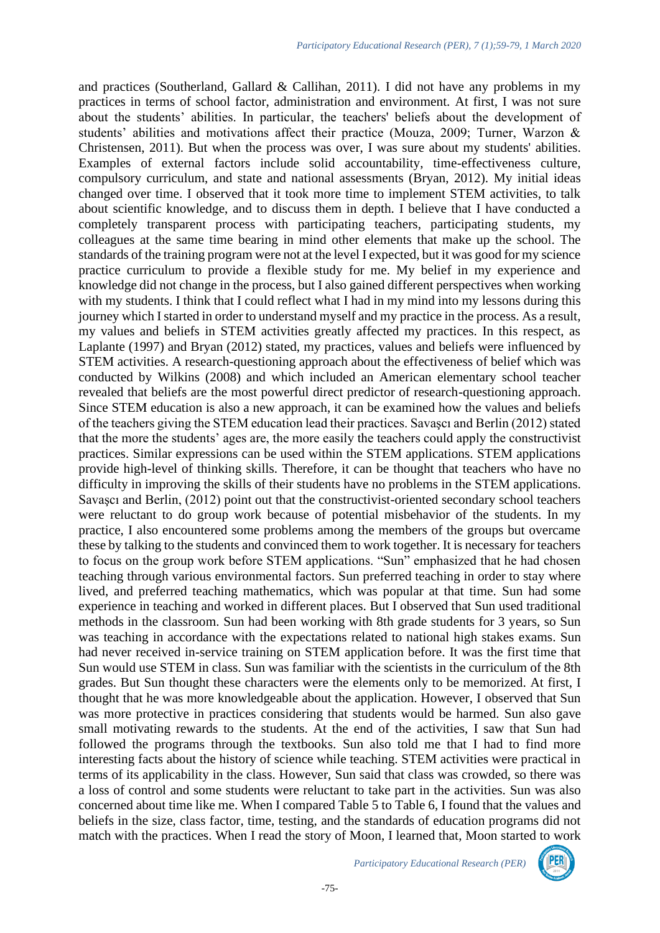and practices (Southerland, Gallard & Callihan, 2011). I did not have any problems in my practices in terms of school factor, administration and environment. At first, I was not sure about the students' abilities. In particular, the teachers' beliefs about the development of students' abilities and motivations affect their practice (Mouza, 2009; Turner, Warzon & Christensen, 2011). But when the process was over, I was sure about my students' abilities. Examples of external factors include solid accountability, time-effectiveness culture, compulsory curriculum, and state and national assessments (Bryan, 2012). My initial ideas changed over time. I observed that it took more time to implement STEM activities, to talk about scientific knowledge, and to discuss them in depth. I believe that I have conducted a completely transparent process with participating teachers, participating students, my colleagues at the same time bearing in mind other elements that make up the school. The standards of the training program were not at the level I expected, but it was good for my science practice curriculum to provide a flexible study for me. My belief in my experience and knowledge did not change in the process, but I also gained different perspectives when working with my students. I think that I could reflect what I had in my mind into my lessons during this journey which I started in order to understand myself and my practice in the process. As a result, my values and beliefs in STEM activities greatly affected my practices. In this respect, as Laplante (1997) and Bryan (2012) stated, my practices, values and beliefs were influenced by STEM activities. A research-questioning approach about the effectiveness of belief which was conducted by Wilkins (2008) and which included an American elementary school teacher revealed that beliefs are the most powerful direct predictor of research-questioning approach. Since STEM education is also a new approach, it can be examined how the values and beliefs of the teachers giving the STEM education lead their practices. Savaşcı and Berlin (2012) stated that the more the students' ages are, the more easily the teachers could apply the constructivist practices. Similar expressions can be used within the STEM applications. STEM applications provide high-level of thinking skills. Therefore, it can be thought that teachers who have no difficulty in improving the skills of their students have no problems in the STEM applications. Savaşcı and Berlin, (2012) point out that the constructivist-oriented secondary school teachers were reluctant to do group work because of potential misbehavior of the students. In my practice, I also encountered some problems among the members of the groups but overcame these by talking to the students and convinced them to work together. It is necessary for teachers to focus on the group work before STEM applications. "Sun" emphasized that he had chosen teaching through various environmental factors. Sun preferred teaching in order to stay where lived, and preferred teaching mathematics, which was popular at that time. Sun had some experience in teaching and worked in different places. But I observed that Sun used traditional methods in the classroom. Sun had been working with 8th grade students for 3 years, so Sun was teaching in accordance with the expectations related to national high stakes exams. Sun had never received in-service training on STEM application before. It was the first time that Sun would use STEM in class. Sun was familiar with the scientists in the curriculum of the 8th grades. But Sun thought these characters were the elements only to be memorized. At first, I thought that he was more knowledgeable about the application. However, I observed that Sun was more protective in practices considering that students would be harmed. Sun also gave small motivating rewards to the students. At the end of the activities, I saw that Sun had followed the programs through the textbooks. Sun also told me that I had to find more interesting facts about the history of science while teaching. STEM activities were practical in terms of its applicability in the class. However, Sun said that class was crowded, so there was a loss of control and some students were reluctant to take part in the activities. Sun was also concerned about time like me. When I compared Table 5 to Table 6, I found that the values and beliefs in the size, class factor, time, testing, and the standards of education programs did not match with the practices. When I read the story of Moon, I learned that, Moon started to work

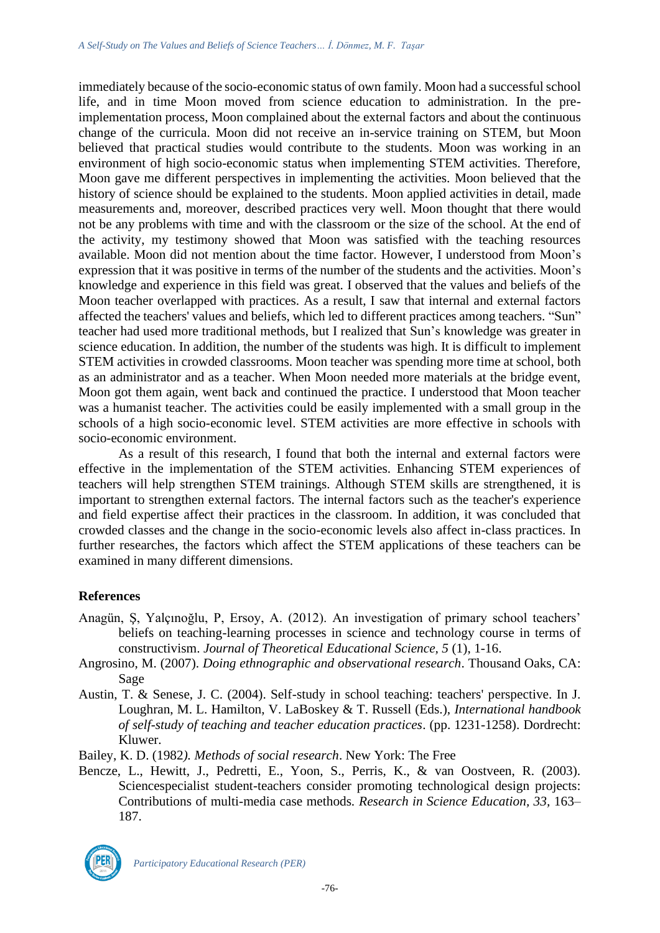immediately because of the socio-economic status of own family. Moon had a successful school life, and in time Moon moved from science education to administration. In the preimplementation process, Moon complained about the external factors and about the continuous change of the curricula. Moon did not receive an in-service training on STEM, but Moon believed that practical studies would contribute to the students. Moon was working in an environment of high socio-economic status when implementing STEM activities. Therefore, Moon gave me different perspectives in implementing the activities. Moon believed that the history of science should be explained to the students. Moon applied activities in detail, made measurements and, moreover, described practices very well. Moon thought that there would not be any problems with time and with the classroom or the size of the school. At the end of the activity, my testimony showed that Moon was satisfied with the teaching resources available. Moon did not mention about the time factor. However, I understood from Moon's expression that it was positive in terms of the number of the students and the activities. Moon's knowledge and experience in this field was great. I observed that the values and beliefs of the Moon teacher overlapped with practices. As a result, I saw that internal and external factors affected the teachers' values and beliefs, which led to different practices among teachers. "Sun" teacher had used more traditional methods, but I realized that Sun's knowledge was greater in science education. In addition, the number of the students was high. It is difficult to implement STEM activities in crowded classrooms. Moon teacher was spending more time at school, both as an administrator and as a teacher. When Moon needed more materials at the bridge event, Moon got them again, went back and continued the practice. I understood that Moon teacher was a humanist teacher. The activities could be easily implemented with a small group in the schools of a high socio-economic level. STEM activities are more effective in schools with socio-economic environment.

As a result of this research, I found that both the internal and external factors were effective in the implementation of the STEM activities. Enhancing STEM experiences of teachers will help strengthen STEM trainings. Although STEM skills are strengthened, it is important to strengthen external factors. The internal factors such as the teacher's experience and field expertise affect their practices in the classroom. In addition, it was concluded that crowded classes and the change in the socio-economic levels also affect in-class practices. In further researches, the factors which affect the STEM applications of these teachers can be examined in many different dimensions.

# **References**

- Anagün, Ş, Yalçınoğlu, P, Ersoy, A. (2012). An investigation of primary school teachers' beliefs on teaching-learning processes in science and technology course in terms of constructivism. *Journal of Theoretical Educational Science, 5* (1), 1-16.
- Angrosino, M. (2007). *Doing ethnographic and observational research*. Thousand Oaks, CA: Sage
- Austin, T. & Senese, J. C. (2004). Self-study in school teaching: teachers' perspective. In J. Loughran, M. L. Hamilton, V. LaBoskey & T. Russell (Eds.), *International handbook of self-study of teaching and teacher education practices*. (pp. 1231-1258). Dordrecht: Kluwer.
- Bailey, K. D. (1982*). Methods of social research*. New York: The Free
- Bencze, L., Hewitt, J., Pedretti, E., Yoon, S., Perris, K., & van Oostveen, R. (2003). Sciencespecialist student-teachers consider promoting technological design projects: Contributions of multi-media case methods*. Research in Science Education, 33,* 163– 187.

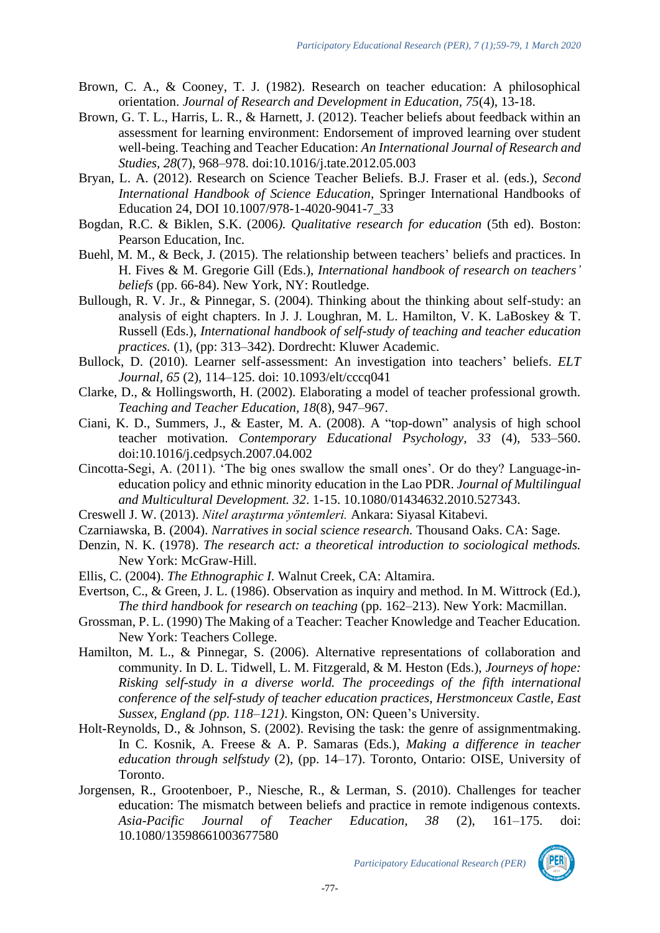- Brown, C. A., & Cooney, T. J. (1982). Research on teacher education: A philosophical orientation. *Journal of Research and Development in Education, 75*(4), 13-18.
- Brown, G. T. L., Harris, L. R., & Harnett, J. (2012). Teacher beliefs about feedback within an assessment for learning environment: Endorsement of improved learning over student well-being. Teaching and Teacher Education: *An International Journal of Research and Studies, 28*(7), 968–978. doi:10.1016/j.tate.2012.05.003
- Bryan, L. A. (2012). Research on Science Teacher Beliefs. B.J. Fraser et al. (eds.), *Second International Handbook of Science Education*, Springer International Handbooks of Education 24, DOI 10.1007/978-1-4020-9041-7\_33
- Bogdan, R.C. & Biklen, S.K. (2006*). Qualitative research for education* (5th ed). Boston: Pearson Education, Inc.
- Buehl, M. M., & Beck, J. (2015). The relationship between teachers' beliefs and practices. In H. Fives & M. Gregorie Gill (Eds.), *International handbook of research on teachers' beliefs* (pp. 66-84). New York, NY: Routledge.
- Bullough, R. V. Jr., & Pinnegar, S. (2004). Thinking about the thinking about self-study: an analysis of eight chapters. In J. J. Loughran, M. L. Hamilton, V. K. LaBoskey & T. Russell (Eds.), *International handbook of self-study of teaching and teacher education practices.* (1), (pp: 313–342). Dordrecht: Kluwer Academic.
- Bullock, D. (2010). Learner self-assessment: An investigation into teachers' beliefs. *ELT Journal, 65* (2), 114–125. doi: 10.1093/elt/cccq041
- Clarke, D., & Hollingsworth, H. (2002). Elaborating a model of teacher professional growth. *Teaching and Teacher Education, 18*(8), 947–967.
- Ciani, K. D., Summers, J., & Easter, M. A. (2008). A "top-down" analysis of high school teacher motivation*. Contemporary Educational Psychology, 33* (4), 533–560. doi:10.1016/j.cedpsych.2007.04.002
- Cincotta-Segi, A. (2011). 'The big ones swallow the small ones'. Or do they? Language-ineducation policy and ethnic minority education in the Lao PDR. *Journal of Multilingual and Multicultural Development. 32*. 1-15. 10.1080/01434632.2010.527343.
- Creswell J. W. (2013). *Nitel araştırma yöntemleri.* Ankara: Siyasal Kitabevi.
- Czarniawska, B. (2004). *Narratives in social science research.* Thousand Oaks. CA: Sage.
- Denzin, N. K. (1978). *The research act: a theoretical introduction to sociological methods.*  New York: McGraw-Hill.
- Ellis, C. (2004). *The Ethnographic I.* Walnut Creek, CA: Altamira.
- Evertson, C., & Green, J. L. (1986). Observation as inquiry and method. In M. Wittrock (Ed.), *The third handbook for research on teaching* (pp. 162–213). New York: Macmillan.
- Grossman, P. L. (1990) The Making of a Teacher: Teacher Knowledge and Teacher Education. New York: Teachers College.
- Hamilton, M. L., & Pinnegar, S. (2006). Alternative representations of collaboration and community. In D. L. Tidwell, L. M. Fitzgerald, & M. Heston (Eds.), *Journeys of hope: Risking self-study in a diverse world. The proceedings of the fifth international conference of the self-study of teacher education practices, Herstmonceux Castle, East Sussex, England (pp. 118–121)*. Kingston, ON: Queen's University.
- Holt-Reynolds, D., & Johnson, S. (2002). Revising the task: the genre of assignmentmaking. In C. Kosnik, A. Freese & A. P. Samaras (Eds.), *Making a difference in teacher education through selfstudy* (2), (pp. 14–17). Toronto, Ontario: OISE, University of Toronto.
- Jorgensen, R., Grootenboer, P., Niesche, R., & Lerman, S. (2010). Challenges for teacher education: The mismatch between beliefs and practice in remote indigenous contexts. *Asia-Pacific Journal of Teacher Education, 38* (2), 161–175. doi: 10.1080/13598661003677580

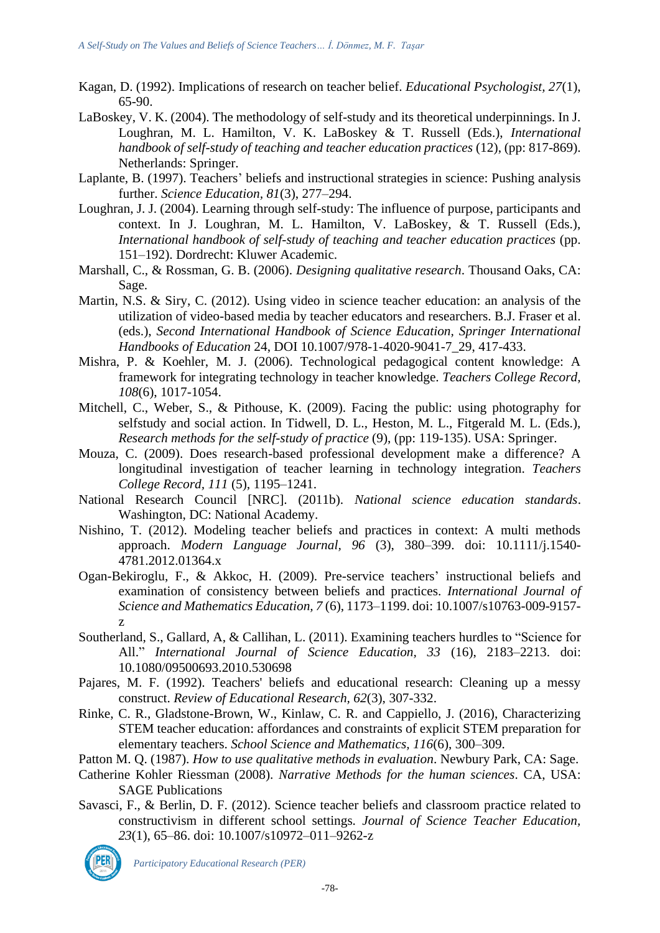- Kagan, D. (1992). Implications of research on teacher belief. *Educational Psychologist, 27*(1), 65-90.
- LaBoskey, V. K. (2004). The methodology of self-study and its theoretical underpinnings. In J. Loughran, M. L. Hamilton, V. K. LaBoskey & T. Russell (Eds.), *International handbook of self-study of teaching and teacher education practices* (12), (pp: 817-869). Netherlands: Springer.
- Laplante, B. (1997). Teachers' beliefs and instructional strategies in science: Pushing analysis further. *Science Education, 81*(3), 277–294.
- Loughran, J. J. (2004). Learning through self-study: The influence of purpose, participants and context. In J. Loughran, M. L. Hamilton, V. LaBoskey, & T. Russell (Eds.), *International handbook of self-study of teaching and teacher education practices* (pp. 151–192). Dordrecht: Kluwer Academic.
- Marshall, C., & Rossman, G. B. (2006). *Designing qualitative research*. Thousand Oaks, CA: Sage.
- Martin, N.S. & Siry, C. (2012). Using video in science teacher education: an analysis of the utilization of video-based media by teacher educators and researchers. B.J. Fraser et al. (eds.), *Second International Handbook of Science Education, Springer International Handbooks of Education* 24, DOI 10.1007/978-1-4020-9041-7\_29, 417-433.
- Mishra, P. & Koehler, M. J. (2006). Technological pedagogical content knowledge: A framework for integrating technology in teacher knowledge. *Teachers College Record, 108*(6), 1017-1054.
- Mitchell, C., Weber, S., & Pithouse, K. (2009). Facing the public: using photography for selfstudy and social action. In Tidwell, D. L., Heston, M. L., Fitgerald M. L. (Eds.), *Research methods for the self-study of practice* (9), (pp: 119-135). USA: Springer.
- Mouza, C. (2009). Does research-based professional development make a difference? A longitudinal investigation of teacher learning in technology integration. *Teachers College Record, 111* (5), 1195–1241.
- National Research Council [NRC]. (2011b). *National science education standards*. Washington, DC: National Academy.
- Nishino, T. (2012). Modeling teacher beliefs and practices in context: A multi methods approach. *Modern Language Journal, 96* (3), 380–399. doi: 10.1111/j.1540- 4781.2012.01364.x
- Ogan-Bekiroglu, F., & Akkoc, H. (2009). Pre-service teachers' instructional beliefs and examination of consistency between beliefs and practices. *International Journal of Science and Mathematics Education, 7* (6), 1173–1199. doi: 10.1007/s10763-009-9157 z
- Southerland, S., Gallard, A, & Callihan, L. (2011). Examining teachers hurdles to "Science for All." *International Journal of Science Education, 33* (16), 2183–2213. doi: 10.1080/09500693.2010.530698
- Pajares, M. F. (1992). Teachers' beliefs and educational research: Cleaning up a messy construct. *Review of Educational Research, 62*(3), 307-332.
- Rinke, C. R., Gladstone-Brown, W., Kinlaw, C. R. and Cappiello, J. (2016), Characterizing STEM teacher education: affordances and constraints of explicit STEM preparation for elementary teachers. *School Science and Mathematics, 116*(6), 300–309.
- Patton M. Q. (1987). *How to use qualitative methods in evaluation*. Newbury Park, CA: Sage.
- Catherine Kohler Riessman (2008). *Narrative Methods for the human sciences*. CA, USA: SAGE Publications
- Savasci, F., & Berlin, D. F. (2012). Science teacher beliefs and classroom practice related to constructivism in different school settings*. Journal of Science Teacher Education, 23*(1), 65–86. doi: 10.1007/s10972–011–9262-z